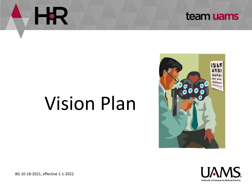



# Vision Plan





BG 10-18-2021, effective 1-1-2022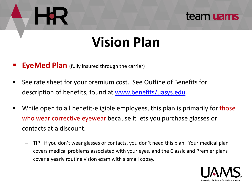## **Vision Plan**

- **EyeMed Plan** (fully insured through the carrier)
- See rate sheet for your premium cost. See Outline of Benefits for description of benefits, found at [www.benefits/uasys.edu.](http://www.benefits/uasys.edu)
- While open to all benefit-eligible employees, this plan is primarily for those who wear corrective eyewear because it lets you purchase glasses or contacts at a discount.
	- TIP: if you don't wear glasses or contacts, you don't need this plan. Your medical plan covers medical problems associated with your eyes, and the Classic and Premier plans cover a yearly routine vision exam with a small copay.

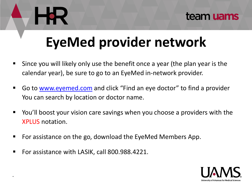# **EyeMed provider network**

- Since you will likely only use the benefit once a year (the plan year is the calendar year), be sure to go to an EyeMed in-network provider.
- Go to <u>www.eyemed.com</u> and click "Find an eye doctor" to find a provider You can search by location or doctor name.
- You'll boost your vision care savings when you choose a providers with the XPLUS notation.
- For assistance on the go, download the EyeMed Members App.
- For assistance with LASIK, call 800.988.4221.

.

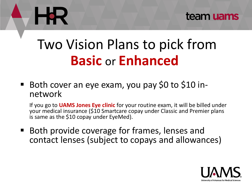

## Two Vision Plans to pick from **Basic** or **Enhanced**

■ Both cover an eye exam, you pay \$0 to \$10 innetwork

If you go to **UAMS Jones Eye clinic** for your routine exam, it will be billed under your medical insurance (\$10 Smartcare copay under Classic and Premier plans is same as the \$10 copay under EyeMed).

■ Both provide coverage for frames, lenses and contact lenses (subject to copays and allowances)

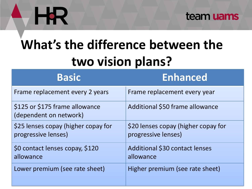# HR.



# **What's the difference between the two vision plans?**

| <b>Basic</b>                                               | <b>Enhanced</b>                                            |
|------------------------------------------------------------|------------------------------------------------------------|
| Frame replacement every 2 years                            | Frame replacement every year                               |
| \$125 or \$175 frame allowance<br>(dependent on network)   | Additional \$50 frame allowance                            |
| \$25 lenses copay (higher copay for<br>progressive lenses) | \$20 lenses copay (higher copay for<br>progressive lenses) |
| \$0 contact lenses copay, \$120<br>allowance               | Additional \$30 contact lenses<br>allowance                |
| Lower premium (see rate sheet)                             | Higher premium (see rate sheet)                            |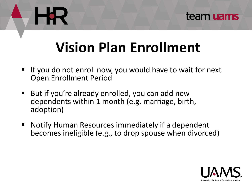# **Vision Plan Enrollment**

- If you do not enroll now, you would have to wait for next Open Enrollment Period
- But if you're already enrolled, you can add new dependents within 1 month (e.g. marriage, birth, adoption)
- Notify Human Resources immediately if a dependent becomes ineligible (e.g., to drop spouse when divorced)